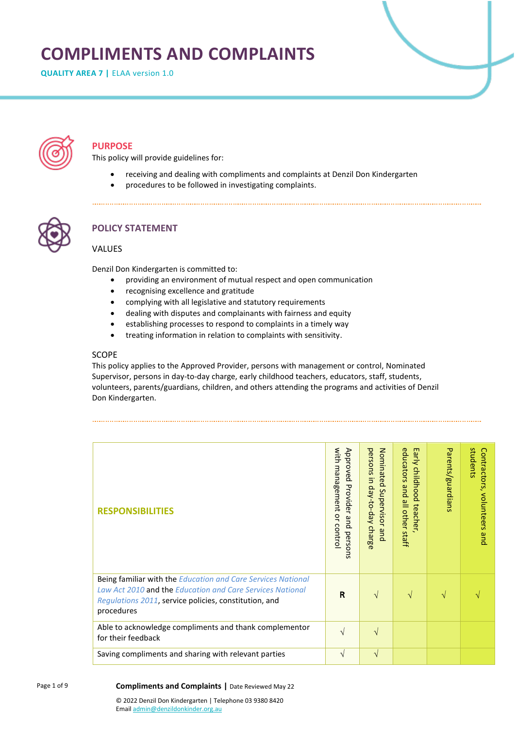# **COMPLIMENTS AND COMPLAINTS**

**QUALITY AREA 7 | ELAA version 1.0** 



# **PURPOSE**

This policy will provide guidelines for:

- receiving and dealing with compliments and complaints at Denzil Don Kindergarten
- procedures to be followed in investigating complaints.



# **POLICY STATEMENT**

## VALUES

Denzil Don Kindergarten is committed to:

• providing an environment of mutual respect and open communication

- recognising excellence and gratitude
- complying with all legislative and statutory requirements
- dealing with disputes and complainants with fairness and equity
- establishing processes to respond to complaints in a timely way
- treating information in relation to complaints with sensitivity.

#### SCOPE

This policy applies to the Approved Provider, persons with management or control, Nominated Supervisor, persons in day-to-day charge, early childhood teachers, educators, staff, students, volunteers, parents/guardians, children, and others attending the programs and activities of Denzil Don Kindergarten.

| <b>RESPONSIBILITIES</b>                                                                                                                                                                          | with management or control<br>Approved<br>Provider<br>and<br>persons | Nominated<br>persons in<br>Aep-co-day<br>Supervisor<br>charge<br>pue. | educators<br>Early child<br>hood<br>and all other staff<br>teacher | Parents/guardians | students<br>Contractors,<br>volunteers and |
|--------------------------------------------------------------------------------------------------------------------------------------------------------------------------------------------------|----------------------------------------------------------------------|-----------------------------------------------------------------------|--------------------------------------------------------------------|-------------------|--------------------------------------------|
| Being familiar with the Education and Care Services National<br>Law Act 2010 and the Education and Care Services National<br>Regulations 2011, service policies, constitution, and<br>procedures | $\mathsf{R}$                                                         | $\sqrt{ }$                                                            | $\sqrt{ }$                                                         | N                 |                                            |
| Able to acknowledge compliments and thank complementor<br>for their feedback                                                                                                                     | $\sqrt{ }$                                                           | $\sqrt{ }$                                                            |                                                                    |                   |                                            |
| Saving compliments and sharing with relevant parties                                                                                                                                             | $\sqrt{ }$                                                           | $\mathbf{v}$                                                          |                                                                    |                   |                                            |

#### **Compliments and Complaints |** Date Reviewed May 22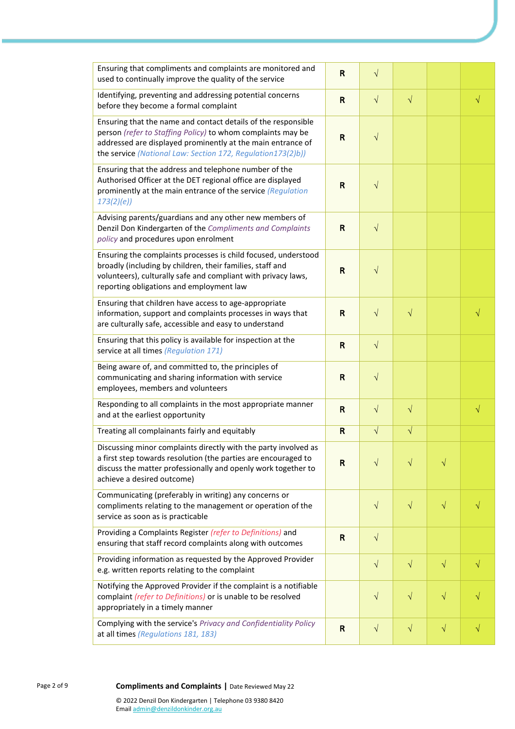| Ensuring that compliments and complaints are monitored and<br>used to continually improve the quality of the service                                                                                                                                       | $\mathsf{R}$ | $\sqrt{}$  |           |           |           |
|------------------------------------------------------------------------------------------------------------------------------------------------------------------------------------------------------------------------------------------------------------|--------------|------------|-----------|-----------|-----------|
| Identifying, preventing and addressing potential concerns<br>before they become a formal complaint                                                                                                                                                         | $\mathsf{R}$ | $\sqrt{ }$ | $\sqrt{}$ |           | $\sqrt{}$ |
| Ensuring that the name and contact details of the responsible<br>person (refer to Staffing Policy) to whom complaints may be<br>addressed are displayed prominently at the main entrance of<br>the service (National Law: Section 172, Regulation173(2)b)) | $\mathsf{R}$ | $\sqrt{}$  |           |           |           |
| Ensuring that the address and telephone number of the<br>Authorised Officer at the DET regional office are displayed<br>prominently at the main entrance of the service (Regulation<br>173(2)(e)                                                           | R            | $\sqrt{}$  |           |           |           |
| Advising parents/guardians and any other new members of<br>Denzil Don Kindergarten of the Compliments and Complaints<br>policy and procedures upon enrolment                                                                                               | $\mathsf{R}$ | $\sqrt{}$  |           |           |           |
| Ensuring the complaints processes is child focused, understood<br>broadly (including by children, their families, staff and<br>volunteers), culturally safe and compliant with privacy laws,<br>reporting obligations and employment law                   | $\mathsf R$  | $\sqrt{}$  |           |           |           |
| Ensuring that children have access to age-appropriate<br>information, support and complaints processes in ways that<br>are culturally safe, accessible and easy to understand                                                                              | $\mathsf{R}$ | $\sqrt{}$  | $\sqrt{}$ |           |           |
| Ensuring that this policy is available for inspection at the<br>service at all times (Regulation 171)                                                                                                                                                      | $\mathsf{R}$ | $\sqrt{ }$ |           |           |           |
| Being aware of, and committed to, the principles of<br>communicating and sharing information with service<br>employees, members and volunteers                                                                                                             | $\mathsf{R}$ | $\sqrt{}$  |           |           |           |
| Responding to all complaints in the most appropriate manner<br>and at the earliest opportunity                                                                                                                                                             | $\mathsf{R}$ | $\sqrt{}$  | $\sqrt{}$ |           | $\sqrt{}$ |
| Treating all complainants fairly and equitably                                                                                                                                                                                                             | $\mathsf{R}$ | $\sqrt{}$  | $\sqrt{}$ |           |           |
| Discussing minor complaints directly with the party involved as<br>a first step towards resolution (the parties are encouraged to<br>discuss the matter professionally and openly work together to<br>achieve a desired outcome)                           | $\mathsf{R}$ | $\sqrt{}$  | $\sqrt{}$ | $\sqrt{}$ |           |
| Communicating (preferably in writing) any concerns or<br>compliments relating to the management or operation of the<br>service as soon as is practicable                                                                                                   |              | $\sqrt{ }$ | $\sqrt{}$ | $\sqrt{}$ |           |
| Providing a Complaints Register (refer to Definitions) and<br>ensuring that staff record complaints along with outcomes                                                                                                                                    | $\mathsf{R}$ | $\sqrt{}$  |           |           |           |
| Providing information as requested by the Approved Provider<br>e.g. written reports relating to the complaint                                                                                                                                              |              | $\sqrt{}$  | $\sqrt{}$ | $\sqrt{}$ | V         |
| Notifying the Approved Provider if the complaint is a notifiable<br>complaint (refer to Definitions) or is unable to be resolved<br>appropriately in a timely manner                                                                                       |              | $\sqrt{}$  | $\sqrt{}$ | $\sqrt{}$ |           |
| Complying with the service's Privacy and Confidentiality Policy<br>at all times (Regulations 181, 183)                                                                                                                                                     | $\mathsf{R}$ | $\sqrt{}$  | $\sqrt{}$ | $\sqrt{}$ | $\sqrt{}$ |

#### 9 **Compliments and Complaints |** Date Reviewed May 22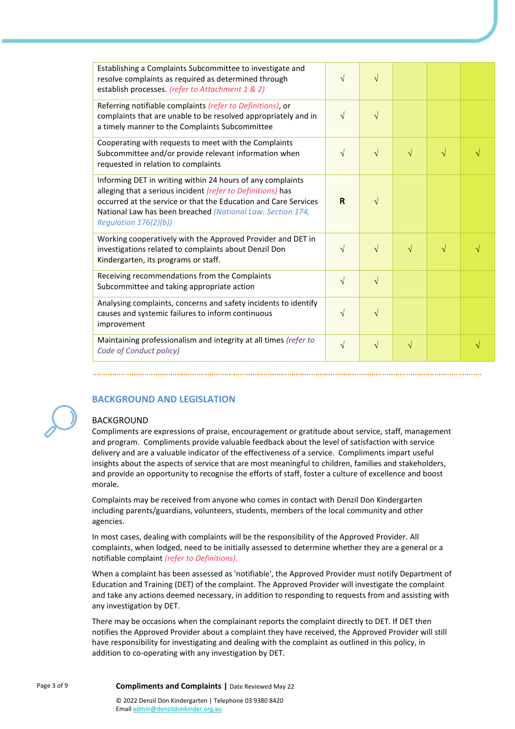| Establishing a Complaints Subcommittee to investigate and<br>resolve complaints as required as determined through<br>establish processes. (refer to Attachment 1 & 2)                                                                                                                  | $\sqrt{ }$ | $\sqrt{ }$ |            |           |           |
|----------------------------------------------------------------------------------------------------------------------------------------------------------------------------------------------------------------------------------------------------------------------------------------|------------|------------|------------|-----------|-----------|
| Referring notifiable complaints (refer to Definitions), or<br>complaints that are unable to be resolved appropriately and in<br>a timely manner to the Complaints Subcommittee                                                                                                         | $\sqrt{ }$ | $\sqrt{}$  |            |           |           |
| Cooperating with requests to meet with the Complaints<br>Subcommittee and/or provide relevant information when<br>requested in relation to complaints                                                                                                                                  | $\sqrt{ }$ | $\sqrt{ }$ | $\sqrt{ }$ | $\sqrt{}$ |           |
| Informing DET in writing within 24 hours of any complaints<br>alleging that a serious incident (refer to Definitions) has<br>occurred at the service or that the Education and Care Services<br>National Law has been breached (National Law: Section 174,<br>Regulation $176(2)(b)$ ) | R          | $\sqrt{ }$ |            |           |           |
| Working cooperatively with the Approved Provider and DET in<br>investigations related to complaints about Denzil Don<br>Kindergarten, its programs or staff.                                                                                                                           | $\sqrt{ }$ | $\sqrt{ }$ | $\sqrt{ }$ | $\sqrt{}$ |           |
| Receiving recommendations from the Complaints<br>Subcommittee and taking appropriate action                                                                                                                                                                                            | $\sqrt{}$  | $\sqrt{ }$ |            |           |           |
| Analysing complaints, concerns and safety incidents to identify<br>causes and systemic failures to inform continuous<br>improvement                                                                                                                                                    | $\sqrt{}$  | $\sqrt{}$  |            |           |           |
| Maintaining professionalism and integrity at all times (refer to<br>Code of Conduct policy)                                                                                                                                                                                            | $\sqrt{}$  | $\sqrt{}$  | $\sqrt{}$  |           | $\sqrt{}$ |

# **BACKGROUND AND LEGISLATION**

#### BACKGROUND

Compliments are expressions of praise, encouragement or gratitude about service, staff, management and program. Compliments provide valuable feedback about the level of satisfaction with service delivery and are a valuable indicator of the effectiveness of a service. Compliments impart useful insights about the aspects of service that are most meaningful to children, families and stakeholders, and provide an opportunity to recognise the efforts of staff, foster a culture of excellence and boost morale.

Complaints may be received from anyone who comes in contact with Denzil Don Kindergarten including parents/guardians, volunteers, students, members of the local community and other agencies.

In most cases, dealing with complaints will be the responsibility of the Approved Provider. All complaints, when lodged, need to be initially assessed to determine whether they are a general or a notifiable complaint *(refer to Definitions).*

When a complaint has been assessed as 'notifiable', the Approved Provider must notify Department of Education and Training (DET) of the complaint. The Approved Provider will investigate the complaint and take any actions deemed necessary, in addition to responding to requests from and assisting with any investigation by DET.

There may be occasions when the complainant reports the complaint directly to DET. If DET then notifies the Approved Provider about a complaint they have received, the Approved Provider will still have responsibility for investigating and dealing with the complaint as outlined in this policy, in addition to co-operating with any investigation by DET.

Emai[l admin@denzildonkinder.org.au](mailto:admin@denzildonkinder.org.au)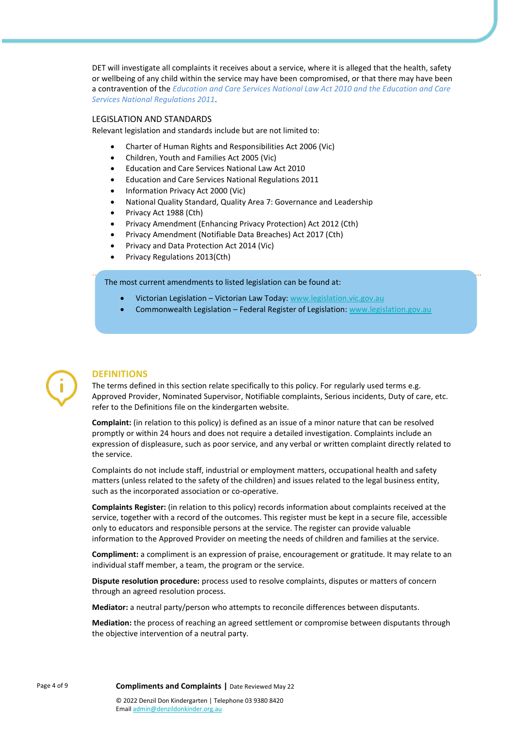DET will investigate all complaints it receives about a service, where it is alleged that the health, safety or wellbeing of any child within the service may have been compromised, or that there may have been a contravention of the *Education and Care Services National Law Act 2010 and the Education and Care Services National Regulations 2011*.

#### LEGISLATION AND STANDARDS

Relevant legislation and standards include but are not limited to:

- Charter of Human Rights and Responsibilities Act 2006 (Vic)
- Children, Youth and Families Act 2005 (Vic)
- Education and Care Services National Law Act 2010
- Education and Care Services National Regulations 2011
- Information Privacy Act 2000 (Vic)
- National Quality Standard, Quality Area 7: Governance and Leadership
- Privacy Act 1988 (Cth)
- Privacy Amendment (Enhancing Privacy Protection) Act 2012 (Cth)
- Privacy Amendment (Notifiable Data Breaches) Act 2017 (Cth)
- Privacy and Data Protection Act 2014 (Vic)
- Privacy Regulations 2013(Cth)

The most current amendments to listed legislation can be found at:

- Victorian Legislation Victorian Law Today[: www.legislation.vic.gov.au](http://www.legislation.vic.gov.au/)
- Commonwealth Legislation Federal Register of Legislation: [www.legislation.gov.au](http://www.legislation.gov.au/)



#### **DEFINITIONS**

The terms defined in this section relate specifically to this policy. For regularly used terms e.g. Approved Provider, Nominated Supervisor, Notifiable complaints, Serious incidents, Duty of care, etc. refer to the Definitions file on the kindergarten website.

**Complaint:** (in relation to this policy) is defined as an issue of a minor nature that can be resolved promptly or within 24 hours and does not require a detailed investigation. Complaints include an expression of displeasure, such as poor service, and any verbal or written complaint directly related to the service.

Complaints do not include staff, industrial or employment matters, occupational health and safety matters (unless related to the safety of the children) and issues related to the legal business entity, such as the incorporated association or co-operative.

**Complaints Register:** (in relation to this policy) records information about complaints received at the service, together with a record of the outcomes. This register must be kept in a secure file, accessible only to educators and responsible persons at the service. The register can provide valuable information to the Approved Provider on meeting the needs of children and families at the service.

**Compliment:** a compliment is an expression of praise, encouragement or gratitude. It may relate to an individual staff member, a team, the program or the service.

**Dispute resolution procedure:** process used to resolve complaints, disputes or matters of concern through an agreed resolution process.

**Mediator:** a neutral party/person who attempts to reconcile differences between disputants.

**Mediation:** the process of reaching an agreed settlement or compromise between disputants through the objective intervention of a neutral party.

Emai[l admin@denzildonkinder.org.au](mailto:admin@denzildonkinder.org.au)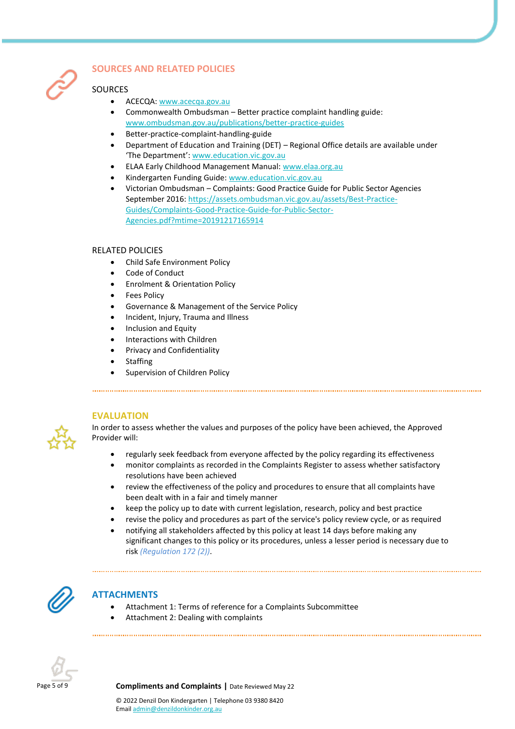

# **SOURCES AND RELATED POLICIES**

### SOURCES

- ACECQA: [www.acecqa.gov.au](https://www.acecqa.gov.au/)
- Commonwealth Ombudsman Better practice complaint handling guide: [www.ombudsman.gov.au/publications/better-practice-guides](https://www.ombudsman.gov.au/publications/better-practice-guides)
- Better-practice-complaint-handling-guide
- Department of Education and Training (DET) Regional Office details are available under 'The Department': [www.education.vic.gov.au](https://www.education.vic.gov.au/Pages/default.aspx)
- ELAA Early Childhood Management Manual: [www.elaa.org.au](https://elaa.org.au/)
- Kindergarten Funding Guide[: www.education.vic.gov.au](https://www.education.vic.gov.au/Pages/default.aspx)
- Victorian Ombudsman Complaints: Good Practice Guide for Public Sector Agencies September 2016: [https://assets.ombudsman.vic.gov.au/assets/Best-Practice-](https://assets.ombudsman.vic.gov.au/assets/Best-Practice-Guides/Complaints-Good-Practice-Guide-for-Public-Sector-Agencies.pdf?mtime=20191217165914)[Guides/Complaints-Good-Practice-Guide-for-Public-Sector-](https://assets.ombudsman.vic.gov.au/assets/Best-Practice-Guides/Complaints-Good-Practice-Guide-for-Public-Sector-Agencies.pdf?mtime=20191217165914)[Agencies.pdf?mtime=20191217165914](https://assets.ombudsman.vic.gov.au/assets/Best-Practice-Guides/Complaints-Good-Practice-Guide-for-Public-Sector-Agencies.pdf?mtime=20191217165914)

#### RELATED POLICIES

- Child Safe Environment Policy
- Code of Conduct
- Enrolment & Orientation Policy
- **Fees Policy**
- Governance & Management of the Service Policy
- Incident, Injury, Trauma and Illness
- Inclusion and Equity
- Interactions with Children
- Privacy and Confidentiality
- **Staffing**
- Supervision of Children Policy

#### **EVALUATION**



In order to assess whether the values and purposes of the policy have been achieved, the Approved Provider will:

- regularly seek feedback from everyone affected by the policy regarding its effectiveness
- monitor complaints as recorded in the Complaints Register to assess whether satisfactory resolutions have been achieved
- review the effectiveness of the policy and procedures to ensure that all complaints have been dealt with in a fair and timely manner
- keep the policy up to date with current legislation, research, policy and best practice
- revise the policy and procedures as part of the service's policy review cycle, or as required
- notifying all stakeholders affected by this policy at least 14 days before making any significant changes to this policy or its procedures, unless a lesser period is necessary due to risk *(Regulation 172 (2))*.



# **ATTACHMENTS**

- Attachment 1: Terms of reference for a Complaints Subcommittee
- Attachment 2: Dealing with complaints



Page 5 of 9 **Compliments and Complaints |** Date Reviewed May 22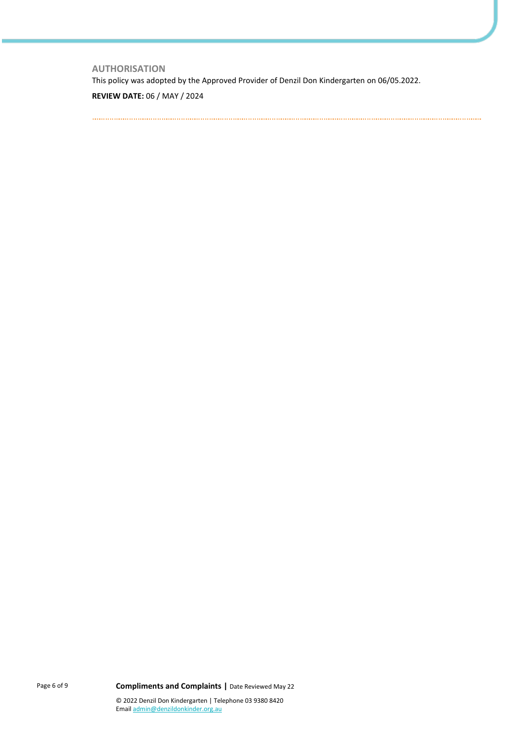**AUTHORISATION** This policy was adopted by the Approved Provider of Denzil Don Kindergarten on 06/05.2022.

**REVIEW DATE:** 06 / MAY / 2024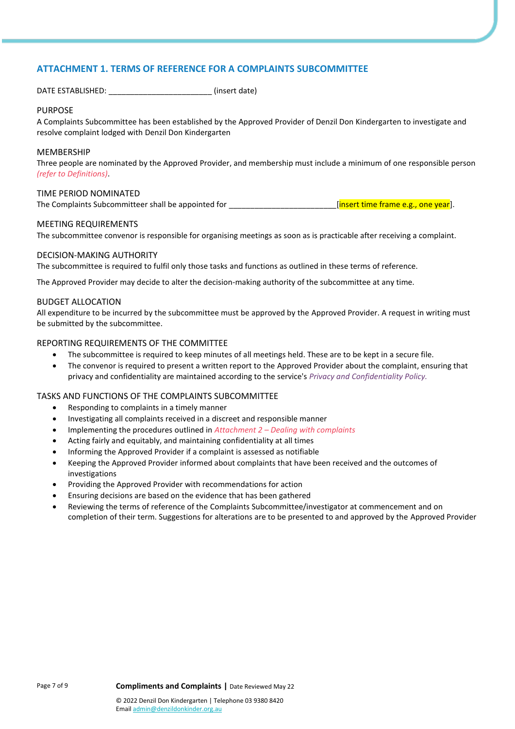#### **ATTACHMENT 1. TERMS OF REFERENCE FOR A COMPLAINTS SUBCOMMITTEE**

DATE ESTABLISHED: \_\_\_\_\_\_\_\_\_\_\_\_\_\_\_\_\_\_\_\_\_\_\_\_ (insert date)

#### PURPOSE

A Complaints Subcommittee has been established by the Approved Provider of Denzil Don Kindergarten to investigate and resolve complaint lodged with Denzil Don Kindergarten

#### MEMBERSHIP

Three people are nominated by the Approved Provider, and membership must include a minimum of one responsible person *(refer to Definitions)*.

#### TIME PERIOD NOMINATED

The Complaints Subcommitteer shall be appointed for **the complant of the frame e.g., one year**].

#### MEETING REQUIREMENTS

The subcommittee convenor is responsible for organising meetings as soon as is practicable after receiving a complaint.

#### DECISION-MAKING AUTHORITY

The subcommittee is required to fulfil only those tasks and functions as outlined in these terms of reference.

The Approved Provider may decide to alter the decision-making authority of the subcommittee at any time.

#### BUDGET ALLOCATION

All expenditure to be incurred by the subcommittee must be approved by the Approved Provider. A request in writing must be submitted by the subcommittee.

#### REPORTING REQUIREMENTS OF THE COMMITTEE

- The subcommittee is required to keep minutes of all meetings held. These are to be kept in a secure file.
- The convenor is required to present a written report to the Approved Provider about the complaint, ensuring that privacy and confidentiality are maintained according to the service's *Privacy and Confidentiality Policy.*

#### TASKS AND FUNCTIONS OF THE COMPLAINTS SUBCOMMITTEE

- Responding to complaints in a timely manner
- Investigating all complaints received in a discreet and responsible manner
- Implementing the procedures outlined in *Attachment 2 – Dealing with complaints*
- Acting fairly and equitably, and maintaining confidentiality at all times
- Informing the Approved Provider if a complaint is assessed as notifiable
- Keeping the Approved Provider informed about complaints that have been received and the outcomes of investigations
- Providing the Approved Provider with recommendations for action
- Ensuring decisions are based on the evidence that has been gathered
- Reviewing the terms of reference of the Complaints Subcommittee/investigator at commencement and on completion of their term. Suggestions for alterations are to be presented to and approved by the Approved Provider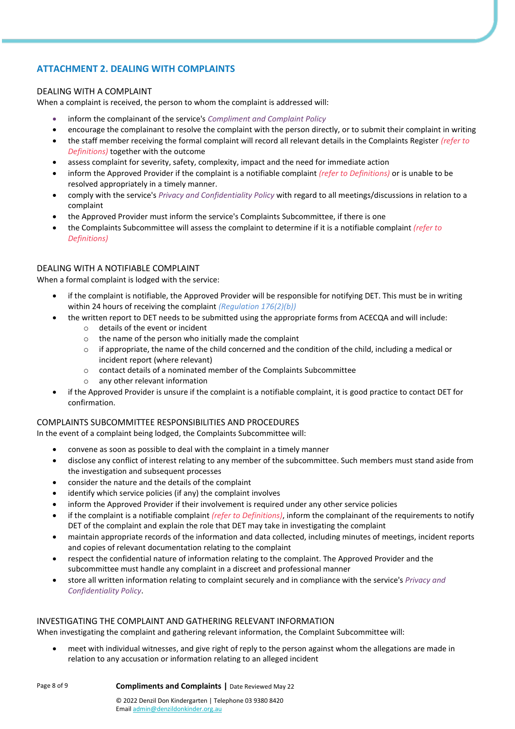## **ATTACHMENT 2. DEALING WITH COMPLAINTS**

#### DEALING WITH A COMPLAINT

When a complaint is received, the person to whom the complaint is addressed will:

- inform the complainant of the service's *Compliment and Complaint Policy*
- encourage the complainant to resolve the complaint with the person directly, or to submit their complaint in writing
- the staff member receiving the formal complaint will record all relevant details in the Complaints Register *(refer to Definitions)* together with the outcome
- assess complaint for severity, safety, complexity, impact and the need for immediate action
- inform the Approved Provider if the complaint is a notifiable complaint *(refer to Definitions)* or is unable to be resolved appropriately in a timely manner.
- comply with the service's *Privacy and Confidentiality Policy* with regard to all meetings/discussions in relation to a complaint
- the Approved Provider must inform the service's Complaints Subcommittee, if there is one
- the Complaints Subcommittee will assess the complaint to determine if it is a notifiable complaint *(refer to Definitions)*

#### DEALING WITH A NOTIFIABLE COMPLAINT

When a formal complaint is lodged with the service:

- if the complaint is notifiable, the Approved Provider will be responsible for notifying DET. This must be in writing within 24 hours of receiving the complaint *(Regulation 176(2)(b))*
- the written report to DET needs to be submitted using the appropriate forms from ACECQA and will include:
	- o details of the event or incident
	- $\circ$  the name of the person who initially made the complaint
	- $\circ$  if appropriate, the name of the child concerned and the condition of the child, including a medical or incident report (where relevant)
	- o contact details of a nominated member of the Complaints Subcommittee
	- o any other relevant information
- if the Approved Provider is unsure if the complaint is a notifiable complaint, it is good practice to contact DET for confirmation.

#### COMPLAINTS SUBCOMMITTEE RESPONSIBILITIES AND PROCEDURES

In the event of a complaint being lodged, the Complaints Subcommittee will:

- convene as soon as possible to deal with the complaint in a timely manner
- disclose any conflict of interest relating to any member of the subcommittee. Such members must stand aside from the investigation and subsequent processes
- consider the nature and the details of the complaint
- identify which service policies (if any) the complaint involves
- inform the Approved Provider if their involvement is required under any other service policies
- if the complaint is a notifiable complaint *(refer to Definitions)*, inform the complainant of the requirements to notify DET of the complaint and explain the role that DET may take in investigating the complaint
- maintain appropriate records of the information and data collected, including minutes of meetings, incident reports and copies of relevant documentation relating to the complaint
- respect the confidential nature of information relating to the complaint. The Approved Provider and the subcommittee must handle any complaint in a discreet and professional manner
- store all written information relating to complaint securely and in compliance with the service's *Privacy and Confidentiality Policy*.

#### INVESTIGATING THE COMPLAINT AND GATHERING RELEVANT INFORMATION

When investigating the complaint and gathering relevant information, the Complaint Subcommittee will:

• meet with individual witnesses, and give right of reply to the person against whom the allegations are made in relation to any accusation or information relating to an alleged incident